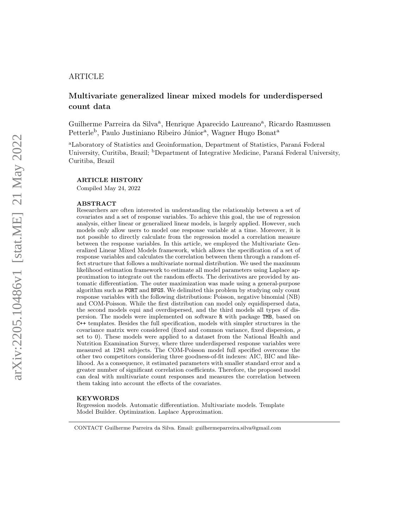## ARTICLE

# Multivariate generalized linear mixed models for underdispersed count data

Guilherme Parreira da Silva<sup>a</sup>, Henrique Aparecido Laureano<sup>a</sup>, Ricardo Rasmussen Petterle<sup>b</sup>, Paulo Justiniano Ribeiro Júnior<sup>a</sup>, Wagner Hugo Bonat<sup>a</sup>

<sup>a</sup>Laboratory of Statistics and Geoinformation, Department of Statistics, Paraná Federal University, Curitiba, Brazil; <sup>b</sup>Department of Integrative Medicine, Paraná Federal University, Curitiba, Brazil

### ARTICLE HISTORY

Compiled May 24, 2022

#### ABSTRACT

Researchers are often interested in understanding the relationship between a set of covariates and a set of response variables. To achieve this goal, the use of regression analysis, either linear or generalized linear models, is largely applied. However, such models only allow users to model one response variable at a time. Moreover, it is not possible to directly calculate from the regression model a correlation measure between the response variables. In this article, we employed the Multivariate Generalized Linear Mixed Models framework, which allows the specification of a set of response variables and calculates the correlation between them through a random effect structure that follows a multivariate normal distribution. We used the maximum likelihood estimation framework to estimate all model parameters using Laplace approximation to integrate out the random effects. The derivatives are provided by automatic differentiation. The outer maximization was made using a general-purpose algorithm such as PORT and BFGS. We delimited this problem by studying only count response variables with the following distributions: Poisson, negative binomial (NB) and COM-Poisson. While the first distribution can model only equidispersed data, the second models equi and overdispersed, and the third models all types of dispersion. The models were implemented on software R with package TMB, based on C++ templates. Besides the full specification, models with simpler structures in the covariance matrix were considered (fixed and common variance, fixed dispersion,  $\rho$ set to 0). These models were applied to a dataset from the National Health and Nutrition Examination Survey, where three underdispersed response variables were measured at 1281 subjects. The COM-Poisson model full specified overcome the other two competitors considering three goodness-of-fit indexes: AIC, BIC and likelihood. As a consequence, it estimated parameters with smaller standard error and a greater number of significant correlation coefficients. Therefore, the proposed model can deal with multivariate count responses and measures the correlation between them taking into account the effects of the covariates.

#### KEYWORDS

Regression models. Automatic differentiation. Multivariate models. Template Model Builder. Optimization. Laplace Approximation.

CONTACT Guilherme Parreira da Silva. Email: guilhermeparreira.silva@gmail.com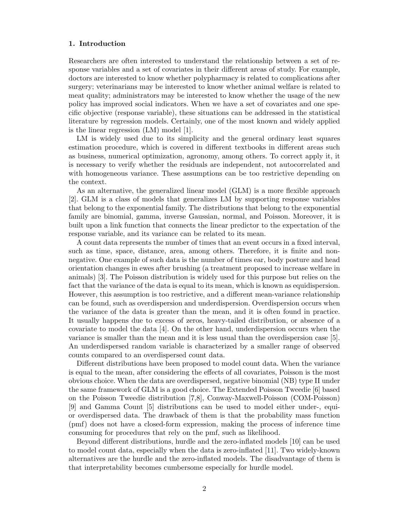### 1. Introduction

Researchers are often interested to understand the relationship between a set of response variables and a set of covariates in their different areas of study. For example, doctors are interested to know whether polypharmacy is related to complications after surgery; veterinarians may be interested to know whether animal welfare is related to meat quality; administrators may be interested to know whether the usage of the new policy has improved social indicators. When we have a set of covariates and one specific objective (response variable), these situations can be addressed in the statistical literature by regression models. Certainly, one of the most known and widely applied is the linear regression (LM) model [\[1\]](#page-14-0).

LM is widely used due to its simplicity and the general ordinary least squares estimation procedure, which is covered in different textbooks in different areas such as business, numerical optimization, agronomy, among others. To correct apply it, it is necessary to verify whether the residuals are independent, not autocorrelated and with homogeneous variance. These assumptions can be too restrictive depending on the context.

As an alternative, the generalized linear model (GLM) is a more flexible approach [\[2\]](#page-14-1). GLM is a class of models that generalizes LM by supporting response variables that belong to the exponential family. The distributions that belong to the exponential family are binomial, gamma, inverse Gaussian, normal, and Poisson. Moreover, it is built upon a link function that connects the linear predictor to the expectation of the response variable, and its variance can be related to its mean.

A count data represents the number of times that an event occurs in a fixed interval, such as time, space, distance, area, among others. Therefore, it is finite and nonnegative. One example of such data is the number of times ear, body posture and head orientation changes in ewes after brushing (a treatment proposed to increase welfare in animals) [\[3\]](#page-14-2). The Poisson distribution is widely used for this purpose but relies on the fact that the variance of the data is equal to its mean, which is known as equidispersion. However, this assumption is too restrictive, and a different mean-variance relationship can be found, such as overdispersion and underdispersion. Overdispersion occurs when the variance of the data is greater than the mean, and it is often found in practice. It usually happens due to excess of zeros, heavy-tailed distribution, or absence of a covariate to model the data [\[4\]](#page-15-0). On the other hand, underdispersion occurs when the variance is smaller than the mean and it is less usual than the overdispersion case [\[5\]](#page-15-1). An underdispersed random variable is characterized by a smaller range of observed counts compared to an overdispersed count data.

Different distributions have been proposed to model count data. When the variance is equal to the mean, after considering the effects of all covariates, Poisson is the most obvious choice. When the data are overdispersed, negative binomial (NB) type II under the same framework of GLM is a good choice. The Extended Poisson Tweedie [\[6\]](#page-15-2) based on the Poisson Tweedie distribution [\[7,](#page-15-3)[8\]](#page-15-4), Conway-Maxwell-Poisson (COM-Poisson) [\[9\]](#page-15-5) and Gamma Count [\[5\]](#page-15-1) distributions can be used to model either under-, equior overdispersed data. The drawback of them is that the probability mass function (pmf) does not have a closed-form expression, making the process of inference time consuming for procedures that rely on the pmf, such as likelihood.

Beyond different distributions, hurdle and the zero-inflated models [\[10\]](#page-15-6) can be used to model count data, especially when the data is zero-inflated [\[11\]](#page-15-7). Two widely-known alternatives are the hurdle and the zero-inflated models. The disadvantage of them is that interpretability becomes cumbersome especially for hurdle model.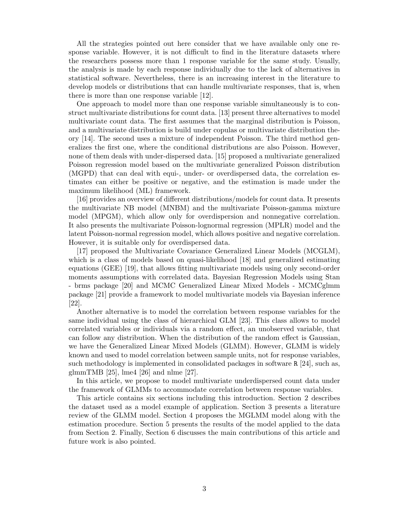All the strategies pointed out here consider that we have available only one response variable. However, it is not difficult to find in the literature datasets where the researchers possess more than 1 response variable for the same study. Usually, the analysis is made by each response individually due to the lack of alternatives in statistical software. Nevertheless, there is an increasing interest in the literature to develop models or distributions that can handle multivariate responses, that is, when there is more than one response variable [\[12\]](#page-15-8).

One approach to model more than one response variable simultaneously is to construct multivariate distributions for count data. [\[13\]](#page-15-9) present three alternatives to model multivariate count data. The first assumes that the marginal distribution is Poisson, and a multivariate distribution is build under copulas or multivariate distribution theory [\[14\]](#page-15-10). The second uses a mixture of independent Poisson. The third method generalizes the first one, where the conditional distributions are also Poisson. However, none of them deals with under-dispersed data. [\[15\]](#page-15-11) proposed a multivariate generalized Poisson regression model based on the multivariate generalized Poisson distribution (MGPD) that can deal with equi-, under- or overdispersed data, the correlation estimates can either be positive or negative, and the estimation is made under the maximum likelihood (ML) framework.

[\[16\]](#page-15-12) provides an overview of different distributions/models for count data. It presents the multivariate NB model (MNBM) and the multivariate Poisson-gamma mixture model (MPGM), which allow only for overdispersion and nonnegative correlation. It also presents the multivariate Poisson-lognormal regression (MPLR) model and the latent Poisson-normal regression model, which allows positive and negative correlation. However, it is suitable only for overdispersed data.

[\[17\]](#page-15-13) proposed the Multivariate Covariance Generalized Linear Models (MCGLM), which is a class of models based on quasi-likelihood [\[18\]](#page-15-14) and generalized estimating equations (GEE) [\[19\]](#page-15-15), that allows fitting multivariate models using only second-order moments assumptions with correlated data. Bayesian Regression Models using Stan - brms package [\[20\]](#page-15-16) and MCMC Generalized Linear Mixed Models - MCMCglmm package [\[21\]](#page-15-17) provide a framework to model multivariate models via Bayesian inference [\[22\]](#page-15-18).

Another alternative is to model the correlation between response variables for the same individual using the class of hierarchical GLM [\[23\]](#page-15-19). This class allows to model correlated variables or individuals via a random effect, an unobserved variable, that can follow any distribution. When the distribution of the random effect is Gaussian, we have the Generalized Linear Mixed Models (GLMM). However, GLMM is widely known and used to model correlation between sample units, not for response variables, such methodology is implemented in consolidated packages in software R [\[24\]](#page-15-20), such as, glmmTMB [\[25\]](#page-15-21), lme4 [\[26\]](#page-16-0) and nlme [\[27\]](#page-16-1).

In this article, we propose to model multivariate underdispersed count data under the framework of GLMMs to accommodate correlation between response variables.

This article contains six sections including this introduction. Section 2 describes the dataset used as a model example of application. Section 3 presents a literature review of the GLMM model. Section 4 proposes the MGLMM model along with the estimation procedure. Section 5 presents the results of the model applied to the data from Section 2. Finally, Section 6 discusses the main contributions of this article and future work is also pointed.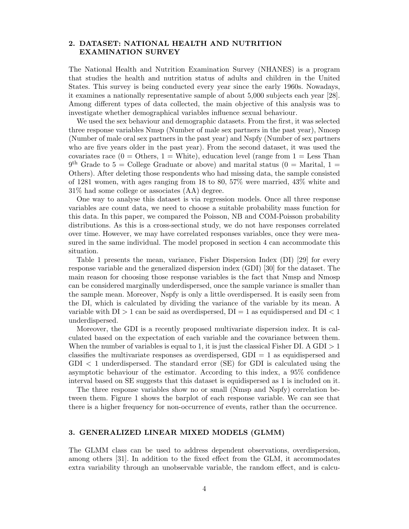## <span id="page-3-0"></span>2. DATASET: NATIONAL HEALTH AND NUTRITION EXAMINATION SURVEY

The National Health and Nutrition Examination Survey (NHANES) is a program that studies the health and nutrition status of adults and children in the United States. This survey is being conducted every year since the early 1960s. Nowadays, it examines a nationally representative sample of about 5,000 subjects each year [\[28\]](#page-16-2). Among different types of data collected, the main objective of this analysis was to investigate whether demographical variables influence sexual behaviour.

We used the sex behaviour and demographic datasets. From the first, it was selected three response variables Nmsp (Number of male sex partners in the past year), Nmosp (Number of male oral sex partners in the past year) and Nspfy (Number of sex partners who are five years older in the past year). From the second dataset, it was used the covariates race  $(0 = 0)$  others,  $1 =$  White), education level (range from  $1 =$  Less Than  $9<sup>th</sup>$  Grade to 5 = College Graduate or above) and marital status (0 = Marital, 1 = Others). After deleting those respondents who had missing data, the sample consisted of 1281 women, with ages ranging from 18 to 80, 57% were married, 43% white and 31% had some college or associates (AA) degree.

One way to analyse this dataset is via regression models. Once all three response variables are count data, we need to choose a suitable probability mass function for this data. In this paper, we compared the Poisson, NB and COM-Poisson probability distributions. As this is a cross-sectional study, we do not have responses correlated over time. However, we may have correlated responses variables, once they were measured in the same individual. The model proposed in [section 4](#page-4-0) can accommodate this situation.

[Table 1](#page-4-1) presents the mean, variance, Fisher Dispersion Index (DI) [\[29\]](#page-16-3) for every response variable and the generalized dispersion index (GDI) [\[30\]](#page-16-4) for the dataset. The main reason for choosing those response variables is the fact that Nmsp and Nmosp can be considered marginally underdispersed, once the sample variance is smaller than the sample mean. Moreover, Nspfy is only a little overdispersed. It is easily seen from the DI, which is calculated by dividing the variance of the variable by its mean. A variable with  $DI > 1$  can be said as overdispersed,  $DI = 1$  as equidispersed and  $DI < 1$ underdispersed.

Moreover, the GDI is a recently proposed multivariate dispersion index. It is calculated based on the expectation of each variable and the covariance between them. When the number of variables is equal to 1, it is just the classical Fisher DI. A GDI  $>1$ classifies the multivariate responses as overdispersed,  $GDI = 1$  as equidispersed and GDI < 1 underdispersed. The standard error (SE) for GDI is calculated using the asymptotic behaviour of the estimator. According to this index, a 95% confidence interval based on SE suggests that this dataset is equidispersed as 1 is included on it.

The three response variables show no or small (Nmsp and Nspfy) correlation between them. [Figure 1](#page-4-2) shows the barplot of each response variable. We can see that there is a higher frequency for non-occurrence of events, rather than the occurrence.

### 3. GENERALIZED LINEAR MIXED MODELS (GLMM)

The GLMM class can be used to address dependent observations, overdispersion, among others [\[31\]](#page-16-5). In addition to the fixed effect from the GLM, it accommodates extra variability through an unobservable variable, the random effect, and is calcu-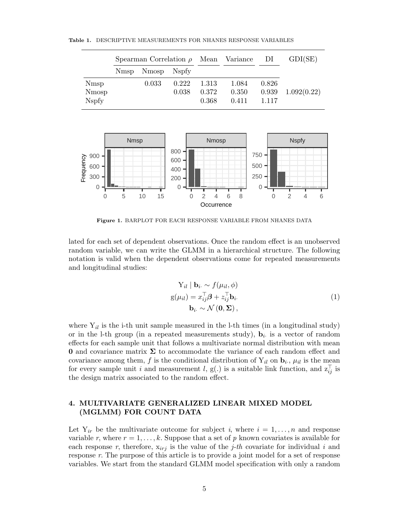Table 1. DESCRIPTIVE MEASUREMENTS FOR NHANES RESPONSE VARIABLES

<span id="page-4-1"></span>

|                              | Spearman Correlation $\rho$ Mean Variance DI |                  |       |                |                |                | GDI(SE)     |
|------------------------------|----------------------------------------------|------------------|-------|----------------|----------------|----------------|-------------|
|                              |                                              | Nmsp Nmosp Nspfy |       |                |                |                |             |
| <b>N</b> msp                 |                                              | 0.033            | 0.222 | 1.313          | 1.084          | 0.826          |             |
| <b>Nmosp</b><br><b>Nspfy</b> |                                              |                  | 0.038 | 0.372<br>0.368 | 0.350<br>0.411 | 0.939<br>1.117 | 1.092(0.22) |



<span id="page-4-2"></span>Figure 1. BARPLOT FOR EACH RESPONSE VARIABLE FROM NHANES DATA

lated for each set of dependent observations. Once the random effect is an unobserved random variable, we can write the GLMM in a hierarchical structure. The following notation is valid when the dependent observations come for repeated measurements and longitudinal studies:

$$
Y_{il} | \mathbf{b}_{i.} \sim f(\mu_{il}, \phi)
$$
  
 
$$
g(\mu_{il}) = x_{ij}^{\top} \boldsymbol{\beta} + z_{ij}^{\top} \mathbf{b}_{i}.
$$
  
\n
$$
\mathbf{b}_{i.} \sim \mathcal{N}(\mathbf{0}, \boldsymbol{\Sigma}),
$$
\n(1)

where  $Y_{il}$  is the i-th unit sample measured in the l-th times (in a longitudinal study) or in the l-th group (in a repeated measurements study),  $\mathbf{b}_i$  is a vector of random effects for each sample unit that follows a multivariate normal distribution with mean **0** and covariance matrix  $\Sigma$  to accommodate the variance of each random effect and covariance among them, f is the conditional distribution of  $Y_{il}$  on  $\mathbf{b}_i$ ,  $\mu_{il}$  is the mean for every sample unit i and measurement l, g(.) is a suitable link function, and  $z_{ij}^{\top}$  is the design matrix associated to the random effect.

## <span id="page-4-0"></span>4. MULTIVARIATE GENERALIZED LINEAR MIXED MODEL (MGLMM) FOR COUNT DATA

Let  $Y_{ir}$  be the multivariate outcome for subject i, where  $i = 1, \ldots, n$  and response variable r, where  $r = 1, \ldots, k$ . Suppose that a set of p known covariates is available for each response r, therefore,  $x_{irj}$  is the value of the *j*-th covariate for individual i and response r. The purpose of this article is to provide a joint model for a set of response variables. We start from the standard GLMM model specification with only a random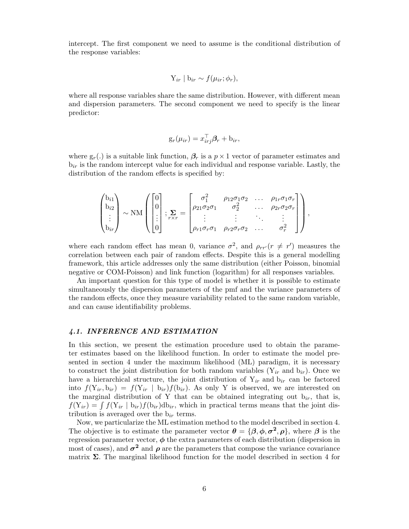intercept. The first component we need to assume is the conditional distribution of the response variables:

$$
Y_{ir} | b_{ir} \sim f(\mu_{ir}; \phi_r),
$$

where all response variables share the same distribution. However, with different mean and dispersion parameters. The second component we need to specify is the linear predictor:

$$
\mathbf{g}_r(\mu_{ir}) = x_{irj}^\top \boldsymbol{\beta}_r + \mathbf{b}_{ir},
$$

where  $g_r(.)$  is a suitable link function,  $\beta_r$  is a  $p \times 1$  vector of parameter estimates and  $b_{ir}$  is the random intercept value for each individual and response variable. Lastly, the distribution of the random effects is specified by:

$$
\begin{pmatrix} b_{i1} \\ b_{i2} \\ \vdots \\ b_{ir} \end{pmatrix} \sim NM \begin{pmatrix} 0 \\ 0 \\ \vdots \\ 0 \end{pmatrix}; \sum_{r \times r} = \begin{bmatrix} \sigma_1^2 & \rho_{12}\sigma_1\sigma_2 & \dots & \rho_{1r}\sigma_1\sigma_r \\ \rho_{21}\sigma_2\sigma_1 & \sigma_2^2 & \dots & \rho_{2r}\sigma_2\sigma_r \\ \vdots & \vdots & \ddots & \vdots \\ \rho_{r1}\sigma_r\sigma_1 & \rho_{r2}\sigma_r\sigma_2 & \dots & \sigma_r^2 \end{bmatrix},
$$

where each random effect has mean 0, variance  $\sigma^2$ , and  $\rho_{rr'}(r \neq r')$  measures the correlation between each pair of random effects. Despite this is a general modelling framework, this article addresses only the same distribution (either Poisson, binomial negative or COM-Poisson) and link function (logarithm) for all responses variables.

An important question for this type of model is whether it is possible to estimate simultaneously the dispersion parameters of the pmf and the variance parameters of the random effects, once they measure variability related to the same random variable, and can cause identifiability problems.

#### 4.1. INFERENCE AND ESTIMATION

In this section, we present the estimation procedure used to obtain the parameter estimates based on the likelihood function. In order to estimate the model presented in [section 4](#page-4-0) under the maximum likelihood (ML) paradigm, it is necessary to construct the joint distribution for both random variables  $(Y_{ir}$  and  $b_{ir})$ . Once we have a hierarchical structure, the joint distribution of  $Y_{ir}$  and  $b_{ir}$  can be factored into  $f(Y_{ir}, b_{ir}) = f(Y_{ir} | b_{ir})f(b_{ir})$ . As only Y is observed, we are interested on the marginal distribution of Y that can be obtained integrating out  $b_{ir}$ , that is,  $f(Y_{ir}) = \int f(Y_{ir} | b_{ir}) f(b_{ir}) db_{ir}$ , which in practical terms means that the joint distribution is averaged over the  $b_{ir}$  terms.

Now, we particularize the ML estimation method to the model described in [section 4.](#page-4-0) The objective is to estimate the parameter vector  $\theta = {\beta, \phi, \sigma^2, \rho},$  where  $\beta$  is the regression parameter vector,  $\phi$  the extra parameters of each distribution (dispersion in most of cases), and  $\sigma^2$  and  $\rho$  are the parameters that compose the variance covariance matrix  $\Sigma$ . The marginal likelihood function for the model described in [section 4](#page-4-0) for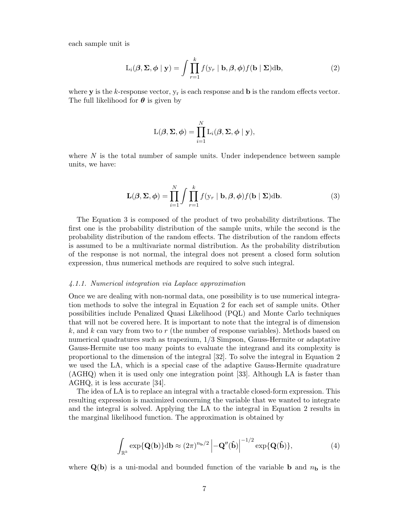each sample unit is

<span id="page-6-1"></span>
$$
L_i(\boldsymbol{\beta}, \boldsymbol{\Sigma}, \boldsymbol{\phi} \mid \mathbf{y}) = \int \prod_{r=1}^k f(\mathbf{y}_r \mid \mathbf{b}, \boldsymbol{\beta}, \boldsymbol{\phi}) f(\mathbf{b} \mid \boldsymbol{\Sigma}) d\mathbf{b}, \tag{2}
$$

where **y** is the k-response vector,  $y_r$  is each response and **b** is the random effects vector. The full likelihood for  $\theta$  is given by

$$
L(\boldsymbol{\beta}, \boldsymbol{\Sigma}, \boldsymbol{\phi}) = \prod_{i=1}^N L_i(\boldsymbol{\beta}, \boldsymbol{\Sigma}, \boldsymbol{\phi} \mid \mathbf{y}),
$$

where  $N$  is the total number of sample units. Under independence between sample units, we have:

<span id="page-6-0"></span>
$$
\mathbf{L}(\boldsymbol{\beta}, \boldsymbol{\Sigma}, \boldsymbol{\phi}) = \prod_{i=1}^{N} \int \prod_{r=1}^{k} f(\mathbf{y}_r \mid \mathbf{b}, \boldsymbol{\beta}, \boldsymbol{\phi}) f(\mathbf{b} \mid \boldsymbol{\Sigma}) \mathrm{d} \mathbf{b}.
$$
 (3)

The [Equation 3](#page-6-0) is composed of the product of two probability distributions. The first one is the probability distribution of the sample units, while the second is the probability distribution of the random effects. The distribution of the random effects is assumed to be a multivariate normal distribution. As the probability distribution of the response is not normal, the integral does not present a closed form solution expression, thus numerical methods are required to solve such integral.

## 4.1.1. Numerical integration via Laplace approximation

Once we are dealing with non-normal data, one possibility is to use numerical integration methods to solve the integral in [Equation 2](#page-6-1) for each set of sample units. Other possibilities include Penalized Quasi Likelihood (PQL) and Monte Carlo techniques that will not be covered here. It is important to note that the integral is of dimension  $k$ , and k can vary from two to r (the number of response variables). Methods based on numerical quadratures such as trapezium, 1/3 Simpson, Gauss-Hermite or adaptative Gauss-Hermite use too many points to evaluate the integrand and its complexity is proportional to the dimension of the integral [\[32\]](#page-16-6). To solve the integral in [Equation 2](#page-6-1) we used the LA, which is a special case of the adaptive Gauss-Hermite quadrature (AGHQ) when it is used only one integration point [\[33\]](#page-16-7). Although LA is faster than AGHQ, it is less accurate [\[34\]](#page-16-8).

The idea of LA is to replace an integral with a tractable closed-form expression. This resulting expression is maximized concerning the variable that we wanted to integrate and the integral is solved. Applying the LA to the integral in [Equation 2](#page-6-1) results in the marginal likelihood function. The approximation is obtained by

$$
\int_{\mathbb{R}^k} \exp\{\mathbf{Q}(\mathbf{b})\} \mathrm{d}\mathbf{b} \approx (2\pi)^{n_{\mathbf{b}}/2} \left| -\mathbf{Q}''(\hat{\mathbf{b}}) \right|^{-1/2} \exp\{\mathbf{Q}(\hat{\mathbf{b}})\},\tag{4}
$$

where  $\mathbf{Q}(\mathbf{b})$  is a uni-modal and bounded function of the variable **b** and  $n_{\mathbf{b}}$  is the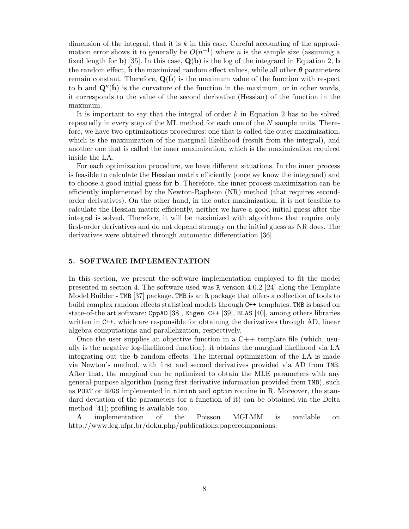dimension of the integral, that it is  $k$  in this case. Careful accounting of the approximation error shows it to generally be  $O(n^{-1})$  where n is the sample size (assuming a fixed length for b) [\[35\]](#page-16-9). In this case,  $\mathbf{Q}(\mathbf{b})$  is the log of the integrand in [Equation 2,](#page-6-1) b the random effect,  $\hat{\mathbf{b}}$  the maximized random effect values, while all other  $\boldsymbol{\theta}$  parameters remain constant. Therefore,  $Q(\hat{b})$  is the maximum value of the function with respect to **b** and  $Q''(\hat{b})$  is the curvature of the function in the maximum, or in other words, it corresponds to the value of the second derivative (Hessian) of the function in the maximum.

It is important to say that the integral of order k in [Equation 2](#page-6-1) has to be solved repeatedly in every step of the ML method for each one of the N sample units. Therefore, we have two optimizations procedures: one that is called the outer maximization, which is the maximization of the marginal likelihood (result from the integral), and another one that is called the inner maximization, which is the maximization required inside the LA.

For each optimization procedure, we have different situations. In the inner process is feasible to calculate the Hessian matrix efficiently (once we know the integrand) and to choose a good initial guess for b. Therefore, the inner process maximization can be efficiently implemented by the Newton-Raphson (NR) method (that requires secondorder derivatives). On the other hand, in the outer maximization, it is not feasible to calculate the Hessian matrix efficiently, neither we have a good initial guess after the integral is solved. Therefore, it will be maximized with algorithms that require only first-order derivatives and do not depend strongly on the initial guess as NR does. The derivatives were obtained through automatic differentiation [\[36\]](#page-16-10).

## 5. SOFTWARE IMPLEMENTATION

In this section, we present the software implementation employed to fit the model presented in [section 4.](#page-4-0) The software used was R version 4.0.2 [\[24\]](#page-15-20) along the Template Model Builder - TMB [\[37\]](#page-16-11) package. TMB is an R package that offers a collection of tools to build complex random effects statistical models through C++ templates. TMB is based on state-of-the art software: CppAD [\[38\]](#page-16-12), Eigen C++ [\[39\]](#page-16-13), BLAS [\[40\]](#page-16-14), among others libraries written in C++, which are responsible for obtaining the derivatives through AD, linear algebra computations and parallelization, respectively.

Once the user supplies an objective function in a  $C++$  template file (which, usually is the negative log-likelihood function), it obtains the marginal likelihood via LA integrating out the b random effects. The internal optimization of the LA is made via Newton's method, with first and second derivatives provided via AD from TMB. After that, the marginal can be optimized to obtain the MLE parameters with any general-purpose algorithm (using first derivative information provided from TMB), such as PORT or BFGS implemented in nlminb and optim routine in R. Moreover, the standard deviation of the parameters (or a function of it) can be obtained via the Delta method [\[41\]](#page-16-15); profiling is available too.

A implementation of the Poisson MGLMM is available on http://www.leg.ufpr.br/doku.php/publications:papercompanions.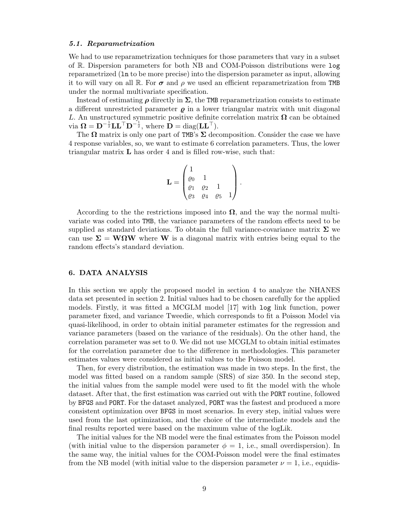#### 5.1. Reparametrization

We had to use reparametrization techniques for those parameters that vary in a subset of R. Dispersion parameters for both NB and COM-Poisson distributions were log reparametrized (ln to be more precise) into the dispersion parameter as input, allowing it to will vary on all R. For  $\sigma$  and  $\rho$  we used an efficient reparametrization from TMB under the normal multivariate specification.

Instead of estimating  $\rho$  directly in  $\Sigma$ , the TMB reparametrization consists to estimate a different unrestricted parameter  $\rho$  in a lower triangular matrix with unit diagonal L. An unstructured symmetric positive definite correlation matrix  $\Omega$  can be obtained via  $\mathbf{\Omega} = \mathbf{D}^{-\frac{1}{2}} \mathbf{L} \mathbf{L}^{\top} \mathbf{D}^{-\frac{1}{2}},$  where  $\mathbf{D} = \text{diag}(\mathbf{L} \mathbf{L}^{\top}).$ 

The  $\Omega$  matrix is only one part of TMB's  $\Sigma$  decomposition. Consider the case we have 4 response variables, so, we want to estimate 6 correlation parameters. Thus, the lower triangular matrix L has order 4 and is filled row-wise, such that:

$$
\mathbf{L} = \begin{pmatrix} 1 & & & \\ \varrho_0 & 1 & & \\ \varrho_1 & \varrho_2 & 1 & \\ \varrho_3 & \varrho_4 & \varrho_5 & 1 \end{pmatrix}.
$$

According to the the restrictions imposed into  $\Omega$ , and the way the normal multivariate was coded into TMB, the variance parameters of the random effects need to be supplied as standard deviations. To obtain the full variance-covariance matrix  $\Sigma$  we can use  $\Sigma = W\Omega W$  where W is a diagonal matrix with entries being equal to the random effects's standard deviation.

### 6. DATA ANALYSIS

In this section we apply the proposed model in [section 4](#page-4-0) to analyze the NHANES data set presented in [section 2.](#page-3-0) Initial values had to be chosen carefully for the applied models. Firstly, it was fitted a MCGLM model [\[17\]](#page-15-13) with log link function, power parameter fixed, and variance Tweedie, which corresponds to fit a Poisson Model via quasi-likelihood, in order to obtain initial parameter estimates for the regression and variance parameters (based on the variance of the residuals). On the other hand, the correlation parameter was set to 0. We did not use MCGLM to obtain initial estimates for the correlation parameter due to the difference in methodologies. This parameter estimates values were considered as initial values to the Poisson model.

Then, for every distribution, the estimation was made in two steps. In the first, the model was fitted based on a random sample (SRS) of size 350. In the second step, the initial values from the sample model were used to fit the model with the whole dataset. After that, the first estimation was carried out with the PORT routine, followed by BFGS and PORT. For the dataset analyzed, PORT was the fastest and produced a more consistent optimization over BFGS in most scenarios. In every step, initial values were used from the last optimization, and the choice of the intermediate models and the final results reported were based on the maximum value of the logLik.

The initial values for the NB model were the final estimates from the Poisson model (with initial value to the dispersion parameter  $\phi = 1$ , i.e., small overdispersion). In the same way, the initial values for the COM-Poisson model were the final estimates from the NB model (with initial value to the dispersion parameter  $\nu = 1$ , i.e., equidis-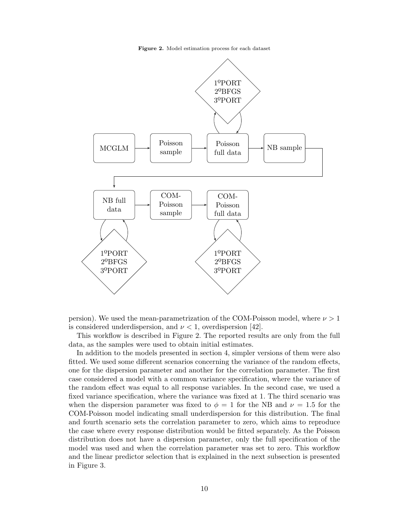<span id="page-9-0"></span>Figure 2. Model estimation process for each dataset





This workflow is described in [Figure 2.](#page-9-0) The reported results are only from the full data, as the samples were used to obtain initial estimates.

In addition to the models presented in [section 4,](#page-4-0) simpler versions of them were also fitted. We used some different scenarios concerning the variance of the random effects, one for the dispersion parameter and another for the correlation parameter. The first case considered a model with a common variance specification, where the variance of the random effect was equal to all response variables. In the second case, we used a fixed variance specification, where the variance was fixed at 1. The third scenario was when the dispersion parameter was fixed to  $\phi = 1$  for the NB and  $\nu = 1.5$  for the COM-Poisson model indicating small underdispersion for this distribution. The final and fourth scenario sets the correlation parameter to zero, which aims to reproduce the case where every response distribution would be fitted separately. As the Poisson distribution does not have a dispersion parameter, only the full specification of the model was used and when the correlation parameter was set to zero. This workflow and the linear predictor selection that is explained in the next subsection is presented in [Figure 3.](#page-10-0)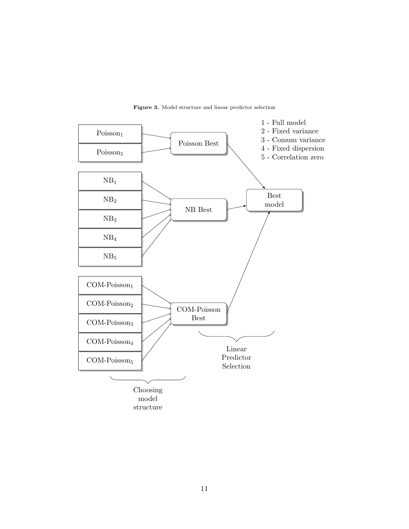

<span id="page-10-0"></span>Figure 3. Model structure and linear predictor selection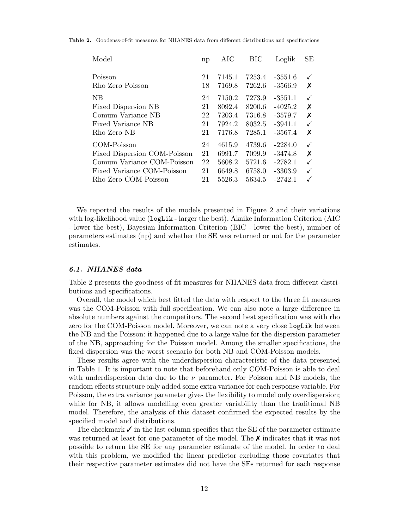<span id="page-11-0"></span>

| Model                                                                                                                           | np                         | AIC                                            | BIC                                            | Loglik                                                        | SЕ          |
|---------------------------------------------------------------------------------------------------------------------------------|----------------------------|------------------------------------------------|------------------------------------------------|---------------------------------------------------------------|-------------|
| Poisson                                                                                                                         | 21                         | 7145.1                                         | 7253.4                                         | $-3551.6$                                                     | ✓           |
| Rho Zero Poisson                                                                                                                | 18                         | 7169.8                                         | 7262.6                                         | $-3566.9$                                                     | Х           |
| NB                                                                                                                              | 24                         | 7150.2                                         | 7273.9                                         | $-3551.1$                                                     | ✓           |
| Fixed Dispersion NB                                                                                                             | 21                         | 8092.4                                         | 8200.6                                         | $-4025.2$                                                     | X           |
| Comum Variance NB                                                                                                               | 22                         | 7203.4                                         | 7316.8                                         | $-3579.7$                                                     | X           |
| Fixed Variance NB                                                                                                               | 21                         | 7924.2                                         | 8032.5                                         | $-3941.1$                                                     | ✓           |
| Rho Zero NB                                                                                                                     | 21                         | 7176.8                                         | 7285.1                                         | $-3567.4$                                                     | Х           |
| COM-Poisson<br>Fixed Dispersion COM-Poisson<br>Comum Variance COM-Poisson<br>Fixed Variance COM-Poisson<br>Rho Zero COM-Poisson | 24<br>21<br>22<br>21<br>21 | 4615.9<br>6991.7<br>5608.2<br>6649.8<br>5526.3 | 4739.6<br>7099.9<br>5721.6<br>6758.0<br>5634.5 | $-2284.0$<br>$-3474.8$<br>$-2782.1$<br>$-3303.9$<br>$-2742.1$ | ✓<br>Х<br>✓ |

Table 2. Goodenss-of-fit measures for NHANES data from different distributions and specifications

We reported the results of the models presented in [Figure 2](#page-9-0) and their variations with log-likelihood value (logLik - larger the best), Akaike Information Criterion (AIC - lower the best), Bayesian Information Criterion (BIC - lower the best), number of parameters estimates (np) and whether the SE was returned or not for the parameter estimates.

#### 6.1. NHANES data

[Table 2](#page-11-0) presents the goodness-of-fit measures for NHANES data from different distributions and specifications.

Overall, the model which best fitted the data with respect to the three fit measures was the COM-Poisson with full specification. We can also note a large difference in absolute numbers against the competitors. The second best specification was with rho zero for the COM-Poisson model. Moreover, we can note a very close logLik between the NB and the Poisson: it happened due to a large value for the dispersion parameter of the NB, approaching for the Poisson model. Among the smaller specifications, the fixed dispersion was the worst scenario for both NB and COM-Poisson models.

These results agree with the underdispersion characteristic of the data presented in [Table 1.](#page-4-1) It is important to note that beforehand only COM-Poisson is able to deal with underdispersion data due to the  $\nu$  parameter. For Poisson and NB models, the random effects structure only added some extra variance for each response variable. For Poisson, the extra variance parameter gives the flexibility to model only overdispersion; while for NB, it allows modelling even greater variability than the traditional NB model. Therefore, the analysis of this dataset confirmed the expected results by the specified model and distributions.

The checkmark  $\checkmark$  in the last column specifies that the SE of the parameter estimate was returned at least for one parameter of the model. The  $\chi$  indicates that it was not possible to return the SE for any parameter estimate of the model. In order to deal with this problem, we modified the linear predictor excluding those covariates that their respective parameter estimates did not have the SEs returned for each response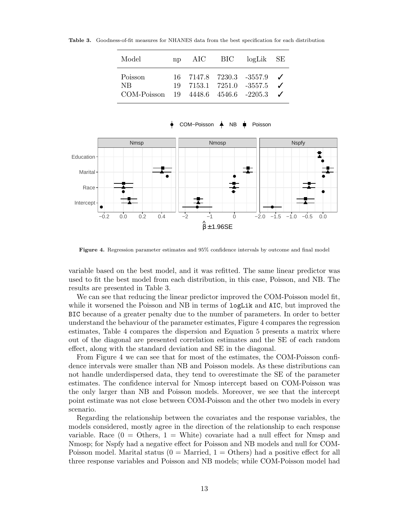<span id="page-12-0"></span>

| Model                        | $\mathbf{nn}$ | AIC | BIC | $log\text{Lik}$ SE                                                                              |  |
|------------------------------|---------------|-----|-----|-------------------------------------------------------------------------------------------------|--|
| Poisson<br>NR<br>COM-Poisson |               |     |     | $16$ 7147.8 7230.3 -3557.9 $\checkmark$<br>19 7153.1 7251.0 -3557.5<br>19 4448.6 4546.6 -2205.3 |  |

Table 3. Goodness-of-fit measures for NHANES data from the best specification for each distribution



COM–Poisson A NB **I**n Poisson

<span id="page-12-1"></span>Figure 4. Regression parameter estimates and 95% confidence intervals by outcome and final model

variable based on the best model, and it was refitted. The same linear predictor was used to fit the best model from each distribution, in this case, Poisson, and NB. The results are presented in [Table 3.](#page-12-0)

We can see that reducing the linear predictor improved the COM-Poisson model fit, while it worsened the Poisson and NB in terms of  $logList$  and AIC, but improved the BIC because of a greater penalty due to the number of parameters. In order to better understand the behaviour of the parameter estimates, [Figure 4](#page-12-1) compares the regression estimates, [Table 4](#page-13-0) compares the dispersion and [Equation 5](#page-13-1) presents a matrix where out of the diagonal are presented correlation estimates and the SE of each random effect, along with the standard deviation and SE in the diagonal.

From [Figure 4](#page-12-1) we can see that for most of the estimates, the COM-Poisson confidence intervals were smaller than NB and Poisson models. As these distributions can not handle underdispersed data, they tend to overestimate the SE of the parameter estimates. The confidence interval for Nmosp intercept based on COM-Poisson was the only larger than NB and Poisson models. Moreover, we see that the intercept point estimate was not close between COM-Poisson and the other two models in every scenario.

Regarding the relationship between the covariates and the response variables, the models considered, mostly agree in the direction of the relationship to each response variable. Race  $(0 = 0)$  thers,  $1 =$  White) covariate had a null effect for Nmsp and Nmosp; for Nspfy had a negative effect for Poisson and NB models and null for COM-Poisson model. Marital status  $(0 = \text{Married}, 1 = \text{Others})$  had a positive effect for all three response variables and Poisson and NB models; while COM-Poisson model had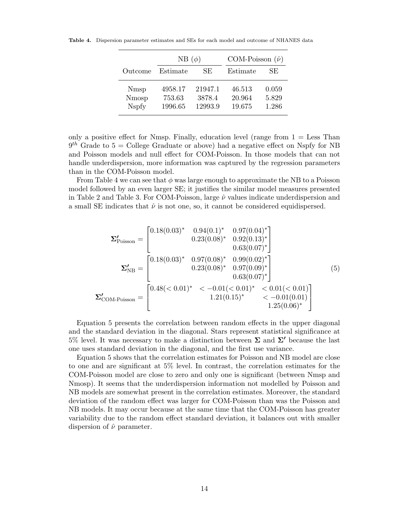<span id="page-13-0"></span>

|                                       | NB $(\phi)$                  |                              | COM-Poisson $(\hat{\nu})$  |                         |  |
|---------------------------------------|------------------------------|------------------------------|----------------------------|-------------------------|--|
| Outcome                               | Estimate                     | SE.                          | Estimate                   | SE.                     |  |
| <b>N</b> msp<br>Nmosp<br><b>Nspfy</b> | 4958.17<br>753.63<br>1996.65 | 21947.1<br>3878.4<br>12993.9 | 46.513<br>20.964<br>19.675 | 0.059<br>5.829<br>1.286 |  |

Table 4. Dispersion parameter estimates and SEs for each model and outcome of NHANES data

only a positive effect for Nmsp. Finally, education level (range from  $1 =$  Less Than  $9<sup>th</sup>$  Grade to 5 = College Graduate or above) had a negative effect on Nspfy for NB and Poisson models and null effect for COM-Poisson. In those models that can not handle underdispersion, more information was captured by the regression parameters than in the COM-Poisson model.

From [Table 4](#page-13-0) we can see that  $\phi$  was large enough to approximate the NB to a Poisson model followed by an even larger SE; it justifies the similar model measures presented in [Table 2](#page-11-0) and [Table 3.](#page-12-0) For COM-Poisson, large  $\hat{\nu}$  values indicate underdispersion and a small SE indicates that  $\hat{\nu}$  is not one, so, it cannot be considered equidispersed.

<span id="page-13-1"></span>
$$
\Sigma'_{\text{Poisson}} = \begin{bmatrix}\n0.18(0.03)^* & 0.94(0.1)^* & 0.97(0.04)^* \\
0.23(0.08)^* & 0.92(0.13)^* \\
0.63(0.07)^* \\
\Sigma'_{\text{NB}} = \begin{bmatrix}\n0.18(0.03)^* & 0.97(0.08)^* & 0.99(0.02)^* \\
0.23(0.08)^* & 0.97(0.09)^* \\
0.23(0.08)^* & 0.97(0.09)^* \\
0.63(0.07)^* \\
\end{bmatrix} \\
\Sigma'_{\text{COM-Poisson}} = \begin{bmatrix}\n0.48(<0.01)^* < -0.01(<0.01)^* < 0.01(0.01) \\
0.48(<0.01)^* < -0.01(<0.01)^* < -0.01(0.01) \\
1.21(0.15)^* < -0.01(0.01) \\
1.25(0.06)^*\n\end{bmatrix}
$$

[Equation 5](#page-13-1) presents the correlation between random effects in the upper diagonal and the standard deviation in the diagonal. Stars represent statistical significance at 5% level. It was necessary to make a distinction between  $\Sigma$  and  $\Sigma'$  because the last one uses standard deviation in the diagonal, and the first use variance.

[Equation 5](#page-13-1) shows that the correlation estimates for Poisson and NB model are close to one and are significant at 5% level. In contrast, the correlation estimates for the COM-Poisson model are close to zero and only one is significant (between Nmsp and Nmosp). It seems that the underdispersion information not modelled by Poisson and NB models are somewhat present in the correlation estimates. Moreover, the standard deviation of the random effect was larger for COM-Poisson than was the Poisson and NB models. It may occur because at the same time that the COM-Poisson has greater variability due to the random effect standard deviation, it balances out with smaller dispersion of  $\hat{\nu}$  parameter.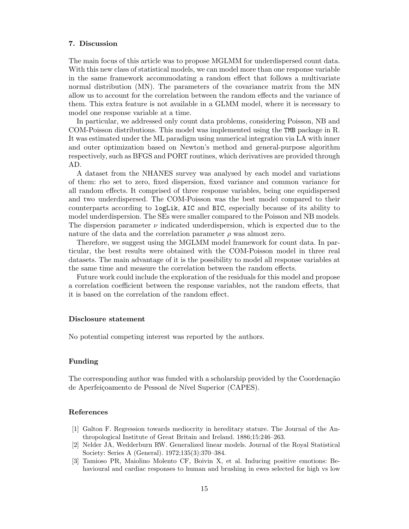## 7. Discussion

The main focus of this article was to propose MGLMM for underdispersed count data. With this new class of statistical models, we can model more than one response variable in the same framework accommodating a random effect that follows a multivariate normal distribution (MN). The parameters of the covariance matrix from the MN allow us to account for the correlation between the random effects and the variance of them. This extra feature is not available in a GLMM model, where it is necessary to model one response variable at a time.

In particular, we addressed only count data problems, considering Poisson, NB and COM-Poisson distributions. This model was implemented using the TMB package in R. It was estimated under the ML paradigm using numerical integration via LA with inner and outer optimization based on Newton's method and general-purpose algorithm respectively, such as BFGS and PORT routines, which derivatives are provided through AD.

A dataset from the NHANES survey was analysed by each model and variations of them: rho set to zero, fixed dispersion, fixed variance and common variance for all random effects. It comprised of three response variables, being one equidispersed and two underdispersed. The COM-Poisson was the best model compared to their counterparts according to logLik, AIC and BIC, especially because of its ability to model underdispersion. The SEs were smaller compared to the Poisson and NB models. The dispersion parameter  $\nu$  indicated underdispersion, which is expected due to the nature of the data and the correlation parameter  $\rho$  was almost zero.

Therefore, we suggest using the MGLMM model framework for count data. In particular, the best results were obtained with the COM-Poisson model in three real datasets. The main advantage of it is the possibility to model all response variables at the same time and measure the correlation between the random effects.

Future work could include the exploration of the residuals for this model and propose a correlation coefficient between the response variables, not the random effects, that it is based on the correlation of the random effect.

### Disclosure statement

No potential competing interest was reported by the authors.

#### Funding

The corresponding author was funded with a scholarship provided by the Coordenação de Aperfeiçoamento de Pessoal de Nível Superior (CAPES).

### References

- <span id="page-14-0"></span>[1] Galton F. Regression towards mediocrity in hereditary stature. The Journal of the Anthropological Institute of Great Britain and Ireland. 1886;15:246–263.
- <span id="page-14-1"></span>[2] Nelder JA, Wedderburn RW. Generalized linear models. Journal of the Royal Statistical Society: Series A (General). 1972;135(3):370–384.
- <span id="page-14-2"></span>[3] Tamioso PR, Maiolino Molento CF, Boivin X, et al. Inducing positive emotions: Behavioural and cardiac responses to human and brushing in ewes selected for high vs low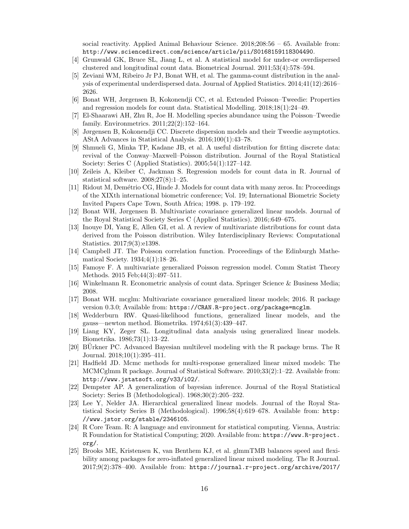social reactivity. Applied Animal Behaviour Science.  $2018;208:56 - 65$ . Available from: <http://www.sciencedirect.com/science/article/pii/S0168159118304490>.

- <span id="page-15-0"></span>[4] Grunwald GK, Bruce SL, Jiang L, et al. A statistical model for under-or overdispersed clustered and longitudinal count data. Biometrical Journal. 2011;53(4):578–594.
- <span id="page-15-1"></span>[5] Zeviani WM, Ribeiro Jr PJ, Bonat WH, et al. The gamma-count distribution in the analysis of experimental underdispersed data. Journal of Applied Statistics. 2014;41(12):2616– 2626.
- <span id="page-15-2"></span>[6] Bonat WH, Jørgensen B, Kokonendji CC, et al. Extended Poisson–Tweedie: Properties and regression models for count data. Statistical Modelling. 2018;18(1):24–49.
- <span id="page-15-3"></span>[7] El-Shaarawi AH, Zhu R, Joe H. Modelling species abundance using the Poisson–Tweedie family. Environmetrics. 2011;22(2):152–164.
- <span id="page-15-4"></span>[8] Jørgensen B, Kokonendji CC. Discrete dispersion models and their Tweedie asymptotics. AStA Advances in Statistical Analysis. 2016;100(1):43–78.
- <span id="page-15-5"></span>[9] Shmueli G, Minka TP, Kadane JB, et al. A useful distribution for fitting discrete data: revival of the Conway–Maxwell–Poisson distribution. Journal of the Royal Statistical Society: Series C (Applied Statistics). 2005;54(1):127–142.
- <span id="page-15-6"></span>[10] Zeileis A, Kleiber C, Jackman S. Regression models for count data in R. Journal of statistical software. 2008;27(8):1–25.
- <span id="page-15-7"></span>[11] Ridout M, Demétrio CG, Hinde J. Models for count data with many zeros. In: Proceedings of the XIXth international biometric conference; Vol. 19; International Biometric Society Invited Papers Cape Town, South Africa; 1998. p. 179–192.
- <span id="page-15-8"></span>[12] Bonat WH, Jørgensen B. Multivariate covariance generalized linear models. Journal of the Royal Statistical Society Series C (Applied Statistics). 2016;:649–675.
- <span id="page-15-9"></span>[13] Inouye DI, Yang E, Allen GI, et al. A review of multivariate distributions for count data derived from the Poisson distribution. Wiley Interdisciplinary Reviews: Computational Statistics. 2017;9(3):e1398.
- <span id="page-15-10"></span>[14] Campbell JT. The Poisson correlation function. Proceedings of the Edinburgh Mathematical Society. 1934;4(1):18–26.
- <span id="page-15-11"></span>[15] Famoye F. A multivariate generalized Poisson regression model. Comm Statist Theory Methods. 2015 Feb;44(3):497–511.
- <span id="page-15-12"></span>[16] Winkelmann R. Econometric analysis of count data. Springer Science & Business Media; 2008.
- <span id="page-15-13"></span>[17] Bonat WH. mcglm: Multivariate covariance generalized linear models; 2016. R package version 0.3.0; Available from: <https://CRAN.R-project.org/package=mcglm>.
- <span id="page-15-14"></span>[18] Wedderburn RW. Quasi-likelihood functions, generalized linear models, and the gauss—newton method. Biometrika. 1974;61(3):439–447.
- <span id="page-15-15"></span>[19] Liang KY, Zeger SL. Longitudinal data analysis using generalized linear models. Biometrika. 1986;73(1):13–22.
- <span id="page-15-16"></span> $[20]$  BUrkner PC. Advanced Bayesian multilevel modeling with the R package brms. The R Journal. 2018;10(1):395–411.
- <span id="page-15-17"></span>[21] Hadfield JD. Mcmc methods for multi-response generalized linear mixed models: The MCMCglmm R package. Journal of Statistical Software. 2010;33(2):1–22. Available from: <http://www.jstatsoft.org/v33/i02/>.
- <span id="page-15-18"></span>[22] Dempster AP. A generalization of bayesian inference. Journal of the Royal Statistical Society: Series B (Methodological). 1968;30(2):205–232.
- <span id="page-15-19"></span>[23] Lee Y, Nelder JA. Hierarchical generalized linear models. Journal of the Royal Statistical Society Series B (Methodological). 1996;58(4):619–678. Available from: [http:](http://www.jstor.org/stable/2346105) [//www.jstor.org/stable/2346105](http://www.jstor.org/stable/2346105).
- <span id="page-15-20"></span>[24] R Core Team. R: A language and environment for statistical computing. Vienna, Austria: R Foundation for Statistical Computing; 2020. Available from: [https://www.R-project.](https://www.R-project.org/) [org/](https://www.R-project.org/).
- <span id="page-15-21"></span>[25] Brooks ME, Kristensen K, van Benthem KJ, et al. glmmTMB balances speed and flexibility among packages for zero-inflated generalized linear mixed modeling. The R Journal. 2017;9(2):378–400. Available from: [https://journal.r-project.org/archive/2017/](https://journal.r-project.org/archive/2017/RJ-2017-066/index.html)